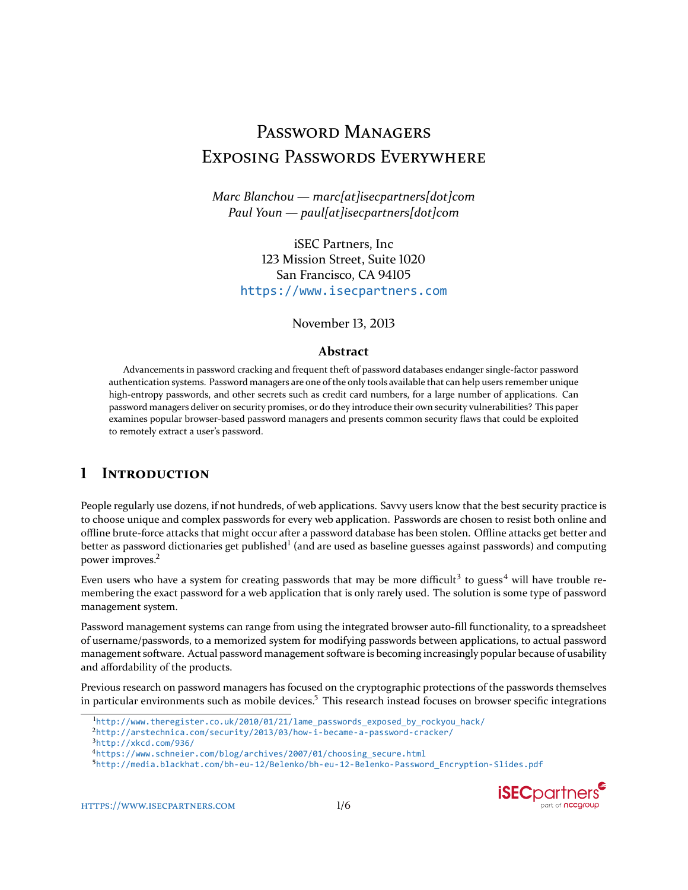# PASSWORD MANAGERS EXPOSING PASSWORDS EVERYWHERE

*Marc Blanchou — marc[at]isecpartners[dot]com Paul Youn — paul[at]isecpartners[dot]com*

iSEC Partners, Inc 123 Mission Street, Suite 1020 San Francisco, CA 94105 <https://www.isecpartners.com>

### November 13, 2013

## **Abstract**

Advancements in password cracking and frequent theft of password databases endanger single-factor password authentication systems. Password managers are one of the only tools available that can help users remember unique high-entropy passwords, and other secrets such as credit card numbers, for a large number of applications. Can password managers deliver on security promises, or do they introduce their own security vulnerabilities? This paper examines popular browser-based password managers and presents common security flaws that could be exploited to remotely extract a user's password.

## *L* INTRODUCTION

People regularly use dozens, if not hundreds, of web applications. Savvy users know that the best security practice is to choose unique and complex passwords for every web application. Passwords are chosen to resist both online and offline brute-force attacks that might occur after a password database has been stolen. Offline attacks get better and better as password dictionaries get published $^1$  (and are used as baseline guesses against passwords) and computing power improves.<sup>2</sup>

Even users who have a system for creating passwords that may be more difficult<sup>3</sup> to guess<sup>4</sup> will have trouble remembering the exact password for a web application that is only rarely used. The solution is some type of password management system.

Password management systems can range from using the integrated browser auto-fill functionality, to a spreadsheet of username/passwords, to a memorized system for modifying passwords between applications, to actual password management software. Actual password management software is becoming increasingly popular because of usability and affordability of the products.

Previous research on password managers has focused on the cryptographic protections of the passwords themselves in particular environments such as mobile devices.<sup>5</sup> This research instead focuses on browser specific integrations

<span id="page-0-0"></span><sup>ͱ</sup>[http://www.theregister.co.uk/2010/01/21/lame\\_passwords\\_exposed\\_by\\_rockyou\\_hack/](http://www.theregister.co.uk/2010/01/21/lame_passwords_exposed_by_rockyou_hack/)

<span id="page-0-1"></span><sup>&</sup>lt;sup>2</sup><http://arstechnica.com/security/2013/03/how-i-became-a-password-cracker/>

<span id="page-0-2"></span> $3$ <http://xkcd.com/936/>

<span id="page-0-3"></span><sup>ʹ</sup>[https://www.schneier.com/blog/archives/2007/01/choosing\\_secure.html](https://www.schneier.com/blog/archives/2007/01/choosing_secure.html)

<span id="page-0-4"></span><sup>&</sup>lt;sup>5</sup>http://media.blackhat.com/bh-eu-12/Belenko/bh-eu-12-Belenko-Password Encryption-Slides.pdf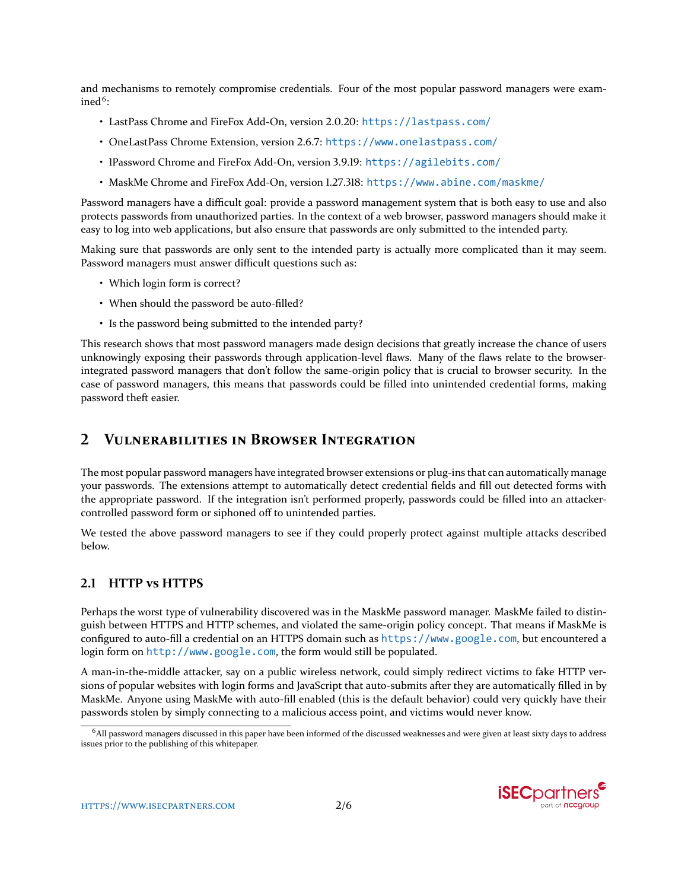and mechanisms to remotely compromise credentials. Four of the most popular password managers were examined $^6$ :

- LastPass Chrome and FireFox Add-On, version 2.0.20: <https://lastpass.com/>
- OneLastPass Chrome Extension, version 2.6.7: <https://www.onelastpass.com/>
- IPassword Chrome and FireFox Add-On, version 3.9.19: <https://agilebits.com/>
- MaskMe Chrome and FireFox Add-On, version 1.27.318: <https://www.abine.com/maskme/>

Password managers have a difficult goal: provide a password management system that is both easy to use and also protects passwords from unauthorized parties. In the context of a web browser, password managers should make it easy to log into web applications, but also ensure that passwords are only submitted to the intended party.

Making sure that passwords are only sent to the intended party is actually more complicated than it may seem. Password managers must answer difficult questions such as:

- Which login form is correct?
- When should the password be auto-filled?
- Is the password being submitted to the intended party?

This research shows that most password managers made design decisions that greatly increase the chance of users unknowingly exposing their passwords through application-level flaws. Many of the flaws relate to the browserintegrated password managers that don't follow the same-origin policy that is crucial to browser security. In the case of password managers, this means that passwords could be filled into unintended credential forms, making password theft easier.

# **2 VULNERABILITIES IN BROWSER INTEGRATION**

The most popular password managers have integrated browser extensions or plug-ins that can automatically manage your passwords. The extensions attempt to automatically detect credential fields and fill out detected forms with the appropriate password. If the integration isn't performed properly, passwords could be filled into an attackercontrolled password form or siphoned off to unintended parties.

We tested the above password managers to see if they could properly protect against multiple attacks described below.

# **2.1 HTTP vs HTTPS**

Perhaps the worst type of vulnerability discovered was in the MaskMe password manager. MaskMe failed to distinguish between HTTPS and HTTP schemes, and violated the same-origin policy concept. That means if MaskMe is configured to auto-fill a credential on an HTTPS domain such as <https://www.google.com>, but encountered a login form on <http://www.google.com>, the form would still be populated.

A man-in-the-middle attacker, say on a public wireless network, could simply redirect victims to fake HTTP versions of popular websites with login forms and JavaScript that auto-submits after they are automatically filled in by MaskMe. Anyone using MaskMe with auto-fill enabled (this is the default behavior) could very quickly have their passwords stolen by simply connecting to a malicious access point, and victims would never know.

<span id="page-1-0"></span><sup>6</sup>All password managers discussed in this paper have been informed of the discussed weaknesses and were given at least sixty days to address issues prior to the publishing of this whitepaper.

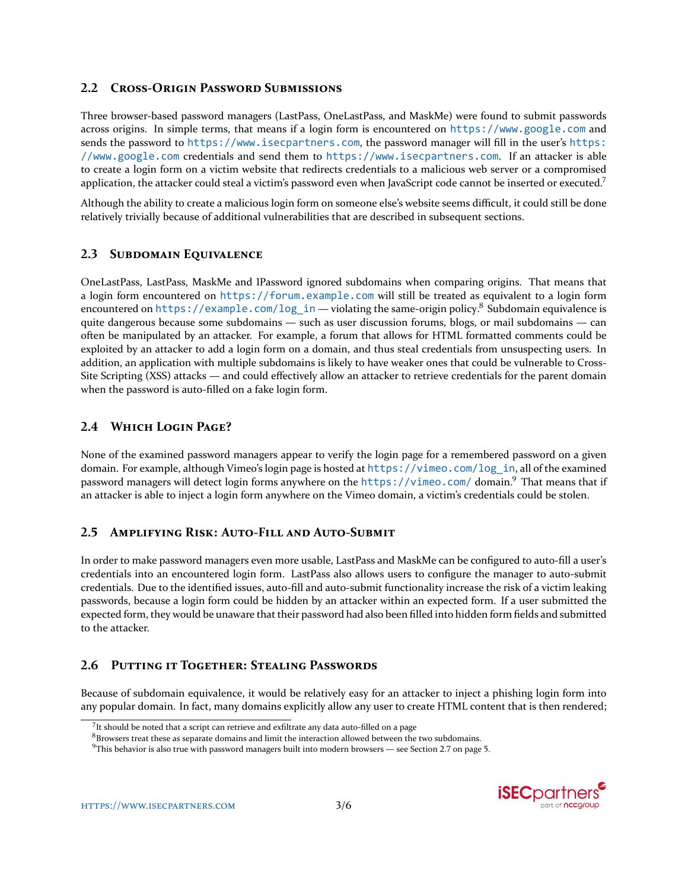## 2.2 CROSS-ORIGIN PASSWORD SUBMISSIONS

Three browser-based password managers (LastPass, OneLastPass, and MaskMe) were found to submit passwords across origins. In simple terms, that means if a login form is encountered on https://www.google.com and sends the password to https://www.isecpartners.com, the password manager will fill in the user's https: //www.google.com credentials and send them to https://www.isecpartners.com. If an attacker is able to create a login form on a victim website that redirects credentials to a malicious web server or a compromised application, the attacker could steal a victim's password even when JavaScript code cannot be inserted or executed.<sup>7</sup>

Although the ability to create a malicious login form on someone else's website seems difficult, it could still be done relatively trivially because of additional vulnerabilities that are described in subsequent sections.

#### $2.3$ **SUBDOMAIN EQUIVALENCE**

OneLastPass, LastPass, MaskMe and IPassword ignored subdomains when comparing origins. That means that a login form encountered on https://forum.example.com will still be treated as equivalent to a login form encountered on https://example.com/log\_in - violating the same-origin policy.<sup>8</sup> Subdomain equivalence is quite dangerous because some subdomains — such as user discussion forums, blogs, or mail subdomains — can often be manipulated by an attacker. For example, a forum that allows for HTML formatted comments could be exploited by an attacker to add a login form on a domain, and thus steal credentials from unsuspecting users. In addition, an application with multiple subdomains is likely to have weaker ones that could be vulnerable to Cross-Site Scripting (XSS) attacks — and could effectively allow an attacker to retrieve credentials for the parent domain when the password is auto-filled on a fake login form.

## 2.4 WHICH LOGIN PAGE?

None of the examined password managers appear to verify the login page for a remembered password on a given domain. For example, although Vimeo's login page is hosted at https://vimeo.com/log\_in, all of the examined password managers will detect login forms anywhere on the https://vimeo.com/domain.9 That means that if an attacker is able to inject a login form anywhere on the Vimeo domain, a victim's credentials could be stolen.

#### AMPLIFYING RISK: AUTO-FILL AND AUTO-SUBMIT  $2.5$

In order to make password managers even more usable, LastPass and MaskMe can be configured to auto-fill a user's credentials into an encountered login form. LastPass also allows users to configure the manager to auto-submit credentials. Due to the identified issues, auto-fill and auto-submit functionality increase the risk of a victim leaking passwords, because a login form could be hidden by an attacker within an expected form. If a user submitted the expected form, they would be unaware that their password had also been filled into hidden form fields and submitted to the attacker.

#### <span id="page-2-3"></span> $2.6$ PUTTING IT TOGETHER: STEALING PASSWORDS

Because of subdomain equivalence, it would be relatively easy for an attacker to inject a phishing login form into any popular domain. In fact, many domains explicitly allow any user to create HTML content that is then rendered;

**iSEC**partners

<span id="page-2-0"></span><sup>&</sup>lt;sup>7</sup>It should be noted that a script can retrieve and exfiltrate any data auto-filled on a page

<span id="page-2-1"></span><sup>&</sup>lt;sup>8</sup> Browsers treat these as separate domains and limit the interaction allowed between the two subdomains.

<span id="page-2-2"></span> $9$ This behavior is also true with password managers built into modern browsers  $-$  see Section 2.7 on page 5.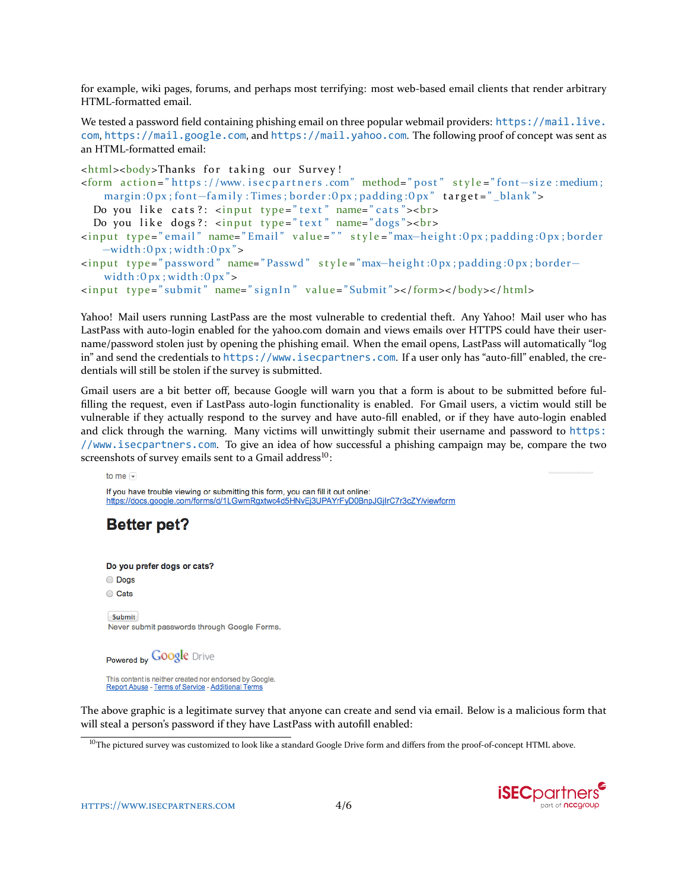for example, wiki pages, forums, and perhaps most terrifying: most web-based email clients that render arbitrary HTML-formatted email.

We tested a password field containing phishing email on three popular webmail providers: [https://mail.live.](https://mail.live.com) [com](https://mail.live.com), <https://mail.google.com>, and <https://mail.yahoo.com>. The following proof of concept was sent as an HTML-formatted email:

```
<html><br/>>body>Thanks for taking our Survey!
<form action = " https ://www.isecpartners .com" method= "post" style = "font-size : medium;
   margin : Opx ; font -family : Times ; border : Opx ; padding : Opx" target = " _blank ">
  Do you like cats?: <input type="text" name="cats"><br>
  Do you like dogs?: <input type="text" name="dogs"><br>
\n input type="email" name="Email" value="" style="max-height:0px;padding:0px;border
   –width:0 px; width:0 px" ><input type="password" name="Passwd" style="max-height:0px;padding:0px;border-
   width:0px; width:0px">
<input type="submit" name="signIn" value="Submit"></form></body></html>
```
Yahoo! Mail users running LastPass are the most vulnerable to credential theft. Any Yahoo! Mail user who has LastPass with auto-login enabled for the yahoo.com domain and views emails over HTTPS could have their username/password stolen just by opening the phishing email. When the email opens, LastPass will automatically "log in" and send the credentials to <https://www.isecpartners.com>. If a user only has "auto-fill" enabled, the credentials will still be stolen if the survey is submitted.

Gmail users are a bit better off, because Google will warn you that a form is about to be submitted before fulfilling the request, even if LastPass auto-login functionality is enabled. For Gmail users, a victim would still be vulnerable if they actually respond to the survey and have auto-fill enabled, or if they have auto-login enabled and click through the warning. Many victims will unwittingly submit their username and password to [https:](https://www.isecpartners.com) [//www.isecpartners.com](https://www.isecpartners.com). To give an idea of how successful a phishing campaign may be, compare the two screenshots of survey emails sent to a Gmail address<sup>10</sup>:

```
to me \overline{z}If you have trouble viewing or submitting this form, you can fill it out online:
https://docs.google.com/forms/d/1LGwmRgxtwc4d5HNvEj3UPAYrFyD0BnpJGjIrC7r3cZY/viewform
```
# **Better pet?**

Do you prefer dogs or cats? O Dogs C Cats Submit Never submit passwords through Google Forms. Powered by **Google** Drive

This content is neither created nor endorsed by Google. Report Abuse - Terms of Service - Additional Terms

The above graphic is a legitimate survey that anyone can create and send via email. Below is a malicious form that will steal a person's password if they have LastPass with autofill enabled:

<span id="page-3-0"></span><sup>&</sup>lt;sup>10</sup>The pictured survey was customized to look like a standard Google Drive form and differs from the proof-of-concept HTML above.

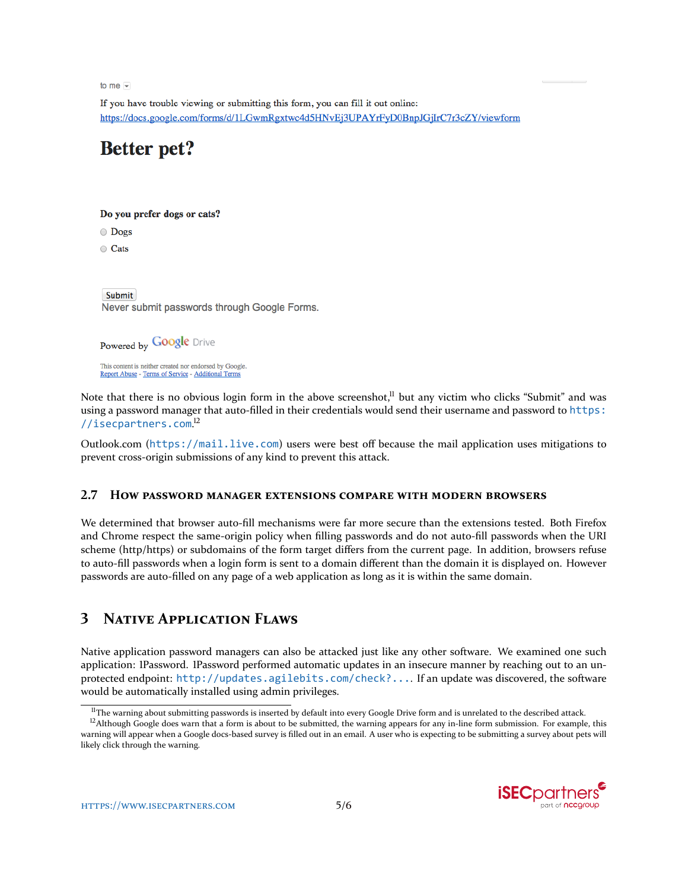to me  $\approx$ 

If you have trouble viewing or submitting this form, you can fill it out online: https://docs.google.com/forms/d/1LGwmRgxtwc4d5HNvEj3UPAYrFyD0BnpJGjIrC7r3cZY/viewform

# **Better pet?**

### Do you prefer dogs or cats?

O Dogs

○ Cats

Submit

Never submit passwords through Google Forms.

Powered by Google Drive

This content is neither created nor endorsed by Google Report Abuse - Terms of Service - Additional Terms

Note that there is no obvious login form in the above screenshot, $<sup>11</sup>$  but any victim who clicks "Submit" and was</sup> using a password manager that auto-filled in their credentials would send their username and password to [https:](https://isecpartners.com) [//isecpartners.com](https://isecpartners.com).<sup>12</sup>

Outlook.com (<https://mail.live.com>) users were best off because the mail application uses mitigations to prevent cross-origin submissions of any kind to prevent this attack.

### <span id="page-4-0"></span>**2.7 HOW PASSWORD MANAGER EXTENSIONS COMPARE WITH MODERN BROWSERS**

We determined that browser auto-fill mechanisms were far more secure than the extensions tested. Both Firefox and Chrome respect the same-origin policy when filling passwords and do not auto-fill passwords when the URI scheme (http/https) or subdomains of the form target differs from the current page. In addition, browsers refuse to auto-fill passwords when a login form is sent to a domain different than the domain it is displayed on. However passwords are auto-filled on any page of a web application as long as it is within the same domain.

# **3 NATIVE APPLICATION FLAWS**

Native application password managers can also be attacked just like any other software. We examined one such application: IPassword. IPassword performed automatic updates in an insecure manner by reaching out to an unprotected endpoint: <http://updates.agilebits.com/check?...>. If an update was discovered, the software would be automatically installed using admin privileges.

<sup>&</sup>lt;sup>12</sup>Although Google does warn that a form is about to be submitted, the warning appears for any in-line form submission. For example, this warning will appear when a Google docs-based survey is filled out in an email. A user who is expecting to be submitting a survey about pets will likely click through the warning.



<span id="page-4-2"></span><span id="page-4-1"></span> ${}^{11}$ The warning about submitting passwords is inserted by default into every Google Drive form and is unrelated to the described attack.